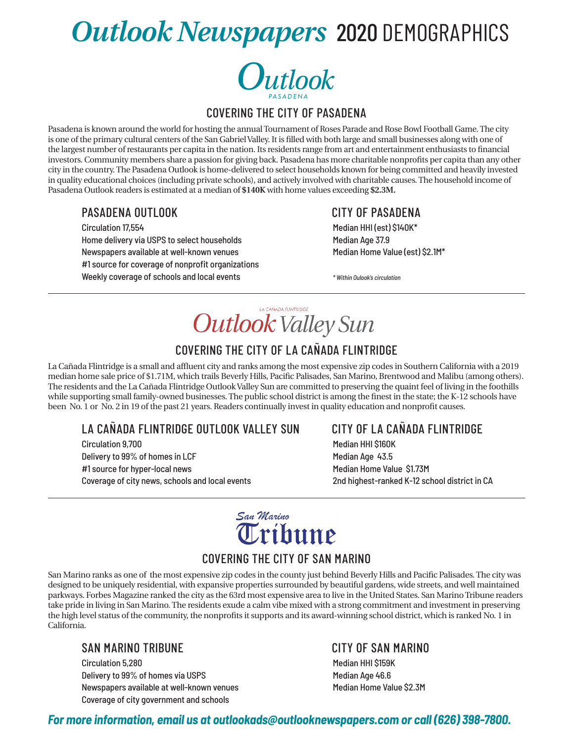# *Outlook Newspapers* 2020 DEMOGRAPHICS



#### covering the City of Pasadena

Pasadena is known around the world for hosting the annual Tournament of Roses Parade and Rose Bowl Football Game. The city is one of the primary cultural centers of the San Gabriel Valley. It is filled with both large and small businesses along with one of the largest number of restaurants per capita in the nation. Its residents range from art and entertainment enthusiasts to financial investors. Community members share a passion for giving back. Pasadena has more charitable nonprofits per capita than any other city in the country. The Pasadena Outlook is home-delivered to select households known for being committed and heavily invested in quality educational choices (including private schools), and actively involved with charitable causes. The household income of Pasadena Outlook readers is estimated at a median of **\$140K** with home values exceeding **\$2.3M.**

#### Pasadena Outlook City of Pasadena

Circulation 17,554 **Median HHI (est) \$140K\*** Median HHI (est) \$140K\* Home delivery via USPS to select households Median Age 37.9 Newspapers available at well-known venues Median Home Value (est) \$2.1M\* #1 source for coverage of nonprofit organizations Weekly coverage of schools and local events *\* Within Oulook's circulation*

LA CAÑADA FUNTRIDGE **Outlook Valley Sun** 

### covering the City of La Cañada Flintridge

La Cañada Flintridge is a small and affluent city and ranks among the most expensive zip codes in Southern California with a 2019 median home sale price of \$1.71M, which trails Beverly Hills, Pacific Palisades, San Marino, Brentwood and Malibu (among others). The residents and the La Cañada Flintridge Outlook Valley Sun are committed to preserving the quaint feel of living in the foothills while supporting small family-owned businesses. The public school district is among the finest in the state; the K-12 schools have been No. 1 or No. 2 in 19 of the past 21 years. Readers continually invest in quality education and nonprofit causes.

### La Cañada Flintridge Outlook Valley Sun City of La Cañada Flintridge

Circulation 9,700 Median HHI \$160K Delivery to 99% of homes in LCF Median Age 43.5 #1 source for hyper-local news Median Home Value \$1.73M Coverage of city news, schools and local events 2nd highest-ranked K-12 school district in CA



### covering the City of San Marino

San Marino ranks as one of the most expensive zip codes in the county just behind Beverly Hills and Pacific Palisades. The city was designed to be uniquely residential, with expansive properties surrounded by beautiful gardens, wide streets, and well maintained parkways. Forbes Magazine ranked the city as the 63rd most expensive area to live in the United States. San Marino Tribune readers take pride in living in San Marino. The residents exude a calm vibe mixed with a strong commitment and investment in preserving the high level status of the community, the nonprofits it supports and its award-winning school district, which is ranked No. 1 in California.

#### San Marino Tribune City of San Marino

Circulation 5,280 Median HHI \$159K Delivery to 99% of homes via USPS Median Age 46.6 Newspapers available at well-known venues Median Home Value \$2.3M Coverage of city government and schools

#### *For more information, email us at outlookads@outlooknewspapers.com or call (626) 398-7800.*